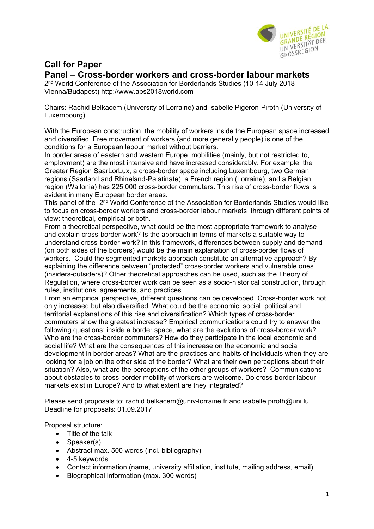

## **Call for Paper**

## **Panel – Cross-border workers and cross-border labour markets**

2nd World Conference of the Association for Borderlands Studies (10-14 July 2018 Vienna/Budapest) http://www.abs2018world.com

Chairs: Rachid Belkacem (University of Lorraine) and Isabelle Pigeron-Piroth (University of Luxembourg)

With the European construction, the mobility of workers inside the European space increased and diversified. Free movement of workers (and more generally people) is one of the conditions for a European labour market without barriers.

In border areas of eastern and western Europe, mobilities (mainly, but not restricted to, employment) are the most intensive and have increased considerably. For example, the Greater Region SaarLorLux, a cross-border space including Luxembourg, two German regions (Saarland and Rhineland-Palatinate), a French region (Lorraine), and a Belgian region (Wallonia) has 225 000 cross-border commuters. This rise of cross-border flows is evident in many European border areas.

This panel of the 2<sup>nd</sup> World Conference of the Association for Borderlands Studies would like to focus on cross-border workers and cross-border labour markets through different points of view: theoretical, empirical or both.

From a theoretical perspective, what could be the most appropriate framework to analyse and explain cross-border work? Is the approach in terms of markets a suitable way to understand cross-border work? In this framework, differences between supply and demand (on both sides of the borders) would be the main explanation of cross-border flows of workers. Could the segmented markets approach constitute an alternative approach? By explaining the difference between "protected" cross-border workers and vulnerable ones (insiders-outsiders)? Other theoretical approaches can be used, such as the Theory of Regulation, where cross-border work can be seen as a socio-historical construction, through rules, institutions, agreements, and practices.

From an empirical perspective, different questions can be developed. Cross-border work not only increased but also diversified. What could be the economic, social, political and territorial explanations of this rise and diversification? Which types of cross-border commuters show the greatest increase? Empirical communications could try to answer the following questions: inside a border space, what are the evolutions of cross-border work? Who are the cross-border commuters? How do they participate in the local economic and social life? What are the consequences of this increase on the economic and social development in border areas? What are the practices and habits of individuals when they are looking for a job on the other side of the border? What are their own perceptions about their situation? Also, what are the perceptions of the other groups of workers? Communications about obstacles to cross-border mobility of workers are welcome. Do cross-border labour markets exist in Europe? And to what extent are they integrated?

Please send proposals to: rachid.belkacem@univ-lorraine.fr and isabelle.piroth@uni.lu Deadline for proposals: 01.09.2017

Proposal structure:

- Title of the talk
- Speaker(s)
- Abstract max. 500 words (incl. bibliography)
- 4-5 keywords
- Contact information (name, university affiliation, institute, mailing address, email)
- Biographical information (max. 300 words)